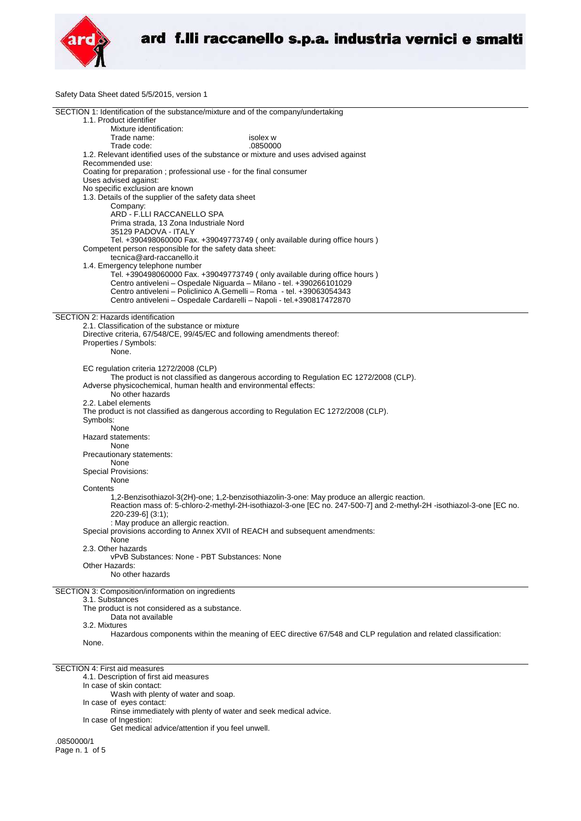

Safety Data Sheet dated 5/5/2015, version 1

| SECTION 1: Identification of the substance/mixture and of the company/undertaking      |                                                                                                                      |
|----------------------------------------------------------------------------------------|----------------------------------------------------------------------------------------------------------------------|
| 1.1. Product identifier                                                                |                                                                                                                      |
| Mixture identification:                                                                |                                                                                                                      |
|                                                                                        | isolex w                                                                                                             |
| Trade name:                                                                            |                                                                                                                      |
| Trade code:                                                                            | .0850000                                                                                                             |
| 1.2. Relevant identified uses of the substance or mixture and uses advised against     |                                                                                                                      |
| Recommended use:                                                                       |                                                                                                                      |
| Coating for preparation ; professional use - for the final consumer                    |                                                                                                                      |
|                                                                                        |                                                                                                                      |
| Uses advised against:                                                                  |                                                                                                                      |
| No specific exclusion are known                                                        |                                                                                                                      |
| 1.3. Details of the supplier of the safety data sheet                                  |                                                                                                                      |
| Company:                                                                               |                                                                                                                      |
| ARD - F.LLI RACCANELLO SPA                                                             |                                                                                                                      |
|                                                                                        |                                                                                                                      |
| Prima strada, 13 Zona Industriale Nord                                                 |                                                                                                                      |
| 35129 PADOVA - ITALY                                                                   |                                                                                                                      |
| Tel. +390498060000 Fax. +39049773749 (only available during office hours)              |                                                                                                                      |
| Competent person responsible for the safety data sheet:                                |                                                                                                                      |
|                                                                                        |                                                                                                                      |
| tecnica@ard-raccanello.it                                                              |                                                                                                                      |
| 1.4. Emergency telephone number                                                        |                                                                                                                      |
| Tel. +390498060000 Fax. +39049773749 (only available during office hours)              |                                                                                                                      |
| Centro antiveleni - Ospedale Niguarda - Milano - tel. +390266101029                    |                                                                                                                      |
| Centro antiveleni – Policlinico A.Gemelli – Roma - tel. +39063054343                   |                                                                                                                      |
|                                                                                        |                                                                                                                      |
| Centro antiveleni - Ospedale Cardarelli - Napoli - tel.+390817472870                   |                                                                                                                      |
|                                                                                        |                                                                                                                      |
| SECTION 2: Hazards identification                                                      |                                                                                                                      |
| 2.1. Classification of the substance or mixture                                        |                                                                                                                      |
|                                                                                        |                                                                                                                      |
| Directive criteria, 67/548/CE, 99/45/EC and following amendments thereof:              |                                                                                                                      |
| Properties / Symbols:                                                                  |                                                                                                                      |
| None.                                                                                  |                                                                                                                      |
|                                                                                        |                                                                                                                      |
| EC regulation criteria 1272/2008 (CLP)                                                 |                                                                                                                      |
|                                                                                        |                                                                                                                      |
|                                                                                        | The product is not classified as dangerous according to Regulation EC 1272/2008 (CLP).                               |
| Adverse physicochemical, human health and environmental effects:                       |                                                                                                                      |
| No other hazards                                                                       |                                                                                                                      |
| 2.2. Label elements                                                                    |                                                                                                                      |
|                                                                                        |                                                                                                                      |
| The product is not classified as dangerous according to Regulation EC 1272/2008 (CLP). |                                                                                                                      |
| Symbols:                                                                               |                                                                                                                      |
| None                                                                                   |                                                                                                                      |
| Hazard statements:                                                                     |                                                                                                                      |
|                                                                                        |                                                                                                                      |
| None                                                                                   |                                                                                                                      |
| Precautionary statements:                                                              |                                                                                                                      |
| None                                                                                   |                                                                                                                      |
| <b>Special Provisions:</b>                                                             |                                                                                                                      |
|                                                                                        |                                                                                                                      |
| None                                                                                   |                                                                                                                      |
| Contents                                                                               |                                                                                                                      |
|                                                                                        | 1,2-Benzisothiazol-3(2H)-one; 1,2-benzisothiazolin-3-one: May produce an allergic reaction.                          |
|                                                                                        | Reaction mass of: 5-chloro-2-methyl-2H-isothiazol-3-one [EC no. 247-500-7] and 2-methyl-2H -isothiazol-3-one [EC no. |
| 220-239-6] (3:1);                                                                      |                                                                                                                      |
|                                                                                        |                                                                                                                      |
| : May produce an allergic reaction.                                                    |                                                                                                                      |
| Special provisions according to Annex XVII of REACH and subsequent amendments:         |                                                                                                                      |
| None                                                                                   |                                                                                                                      |
| 2.3. Other hazards                                                                     |                                                                                                                      |
| vPvB Substances: None - PBT Substances: None                                           |                                                                                                                      |
|                                                                                        |                                                                                                                      |
| Other Hazards:                                                                         |                                                                                                                      |
| No other hazards                                                                       |                                                                                                                      |
|                                                                                        |                                                                                                                      |
|                                                                                        |                                                                                                                      |
| SECTION 3: Composition/information on ingredients                                      |                                                                                                                      |
| 3.1. Substances                                                                        |                                                                                                                      |
| The product is not considered as a substance.                                          |                                                                                                                      |
| Data not available                                                                     |                                                                                                                      |
| 3.2. Mixtures                                                                          |                                                                                                                      |
|                                                                                        |                                                                                                                      |
|                                                                                        | Hazardous components within the meaning of EEC directive 67/548 and CLP regulation and related classification:       |
| None.                                                                                  |                                                                                                                      |
|                                                                                        |                                                                                                                      |
|                                                                                        |                                                                                                                      |
| <b>SECTION 4: First aid measures</b>                                                   |                                                                                                                      |
|                                                                                        |                                                                                                                      |
| 4.1. Description of first aid measures                                                 |                                                                                                                      |
| In case of skin contact:                                                               |                                                                                                                      |

Wash with plenty of water and soap.

- In case of eyes contact:
- Rinse immediately with plenty of water and seek medical advice.
- In case of Ingestion: Get medical advice/attention if you feel unwell.
	-

.0850000/1 Page n. 1 of 5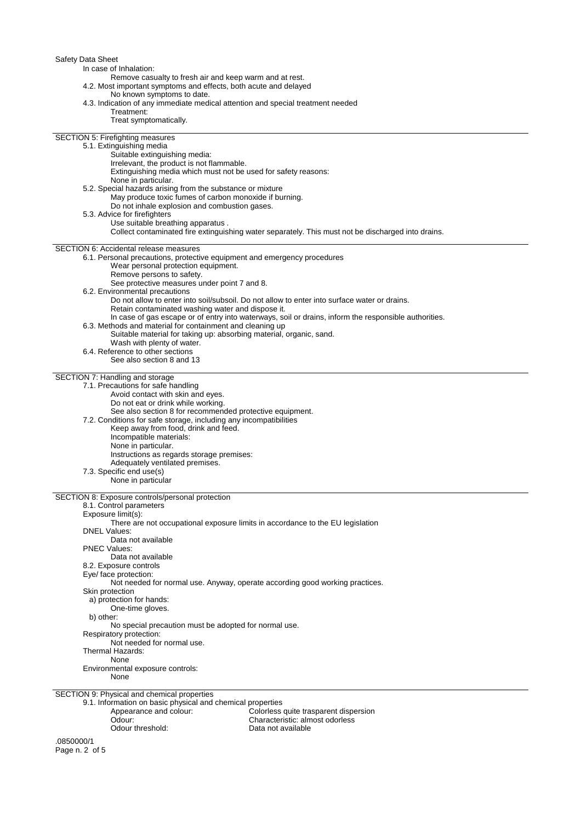| Safety Data Sheet<br>In case of Inhalation:<br>Remove casualty to fresh air and keep warm and at rest.<br>4.2. Most important symptoms and effects, both acute and delayed<br>No known symptoms to date.<br>4.3. Indication of any immediate medical attention and special treatment needed<br>Treatment: |  |  |  |
|-----------------------------------------------------------------------------------------------------------------------------------------------------------------------------------------------------------------------------------------------------------------------------------------------------------|--|--|--|
| Treat symptomatically.<br><b>SECTION 5: Firefighting measures</b><br>5.1. Extinguishing media<br>Suitable extinguishing media:                                                                                                                                                                            |  |  |  |
| Irrelevant, the product is not flammable.<br>Extinguishing media which must not be used for safety reasons:<br>None in particular.                                                                                                                                                                        |  |  |  |
| 5.2. Special hazards arising from the substance or mixture<br>May produce toxic fumes of carbon monoxide if burning.<br>Do not inhale explosion and combustion gases.                                                                                                                                     |  |  |  |
| 5.3. Advice for firefighters<br>Use suitable breathing apparatus.<br>Collect contaminated fire extinguishing water separately. This must not be discharged into drains.                                                                                                                                   |  |  |  |
| <b>SECTION 6: Accidental release measures</b>                                                                                                                                                                                                                                                             |  |  |  |
| 6.1. Personal precautions, protective equipment and emergency procedures<br>Wear personal protection equipment.<br>Remove persons to safety.                                                                                                                                                              |  |  |  |
| See protective measures under point 7 and 8.<br>6.2. Environmental precautions                                                                                                                                                                                                                            |  |  |  |
| Do not allow to enter into soil/subsoil. Do not allow to enter into surface water or drains.<br>Retain contaminated washing water and dispose it.                                                                                                                                                         |  |  |  |
| In case of gas escape or of entry into waterways, soil or drains, inform the responsible authorities.<br>6.3. Methods and material for containment and cleaning up                                                                                                                                        |  |  |  |
| Suitable material for taking up: absorbing material, organic, sand.<br>Wash with plenty of water.                                                                                                                                                                                                         |  |  |  |
| 6.4. Reference to other sections<br>See also section 8 and 13                                                                                                                                                                                                                                             |  |  |  |
| SECTION 7: Handling and storage                                                                                                                                                                                                                                                                           |  |  |  |
| 7.1. Precautions for safe handling<br>Avoid contact with skin and eyes.<br>Do not eat or drink while working.                                                                                                                                                                                             |  |  |  |
| See also section 8 for recommended protective equipment.<br>7.2. Conditions for safe storage, including any incompatibilities<br>Keep away from food, drink and feed.                                                                                                                                     |  |  |  |
| Incompatible materials:<br>None in particular.                                                                                                                                                                                                                                                            |  |  |  |
| Instructions as regards storage premises:<br>Adequately ventilated premises.                                                                                                                                                                                                                              |  |  |  |
| 7.3. Specific end use(s)<br>None in particular                                                                                                                                                                                                                                                            |  |  |  |
| SECTION 8: Exposure controls/personal protection                                                                                                                                                                                                                                                          |  |  |  |
| 8.1. Control parameters<br>Exposure limit(s):                                                                                                                                                                                                                                                             |  |  |  |
| There are not occupational exposure limits in accordance to the EU legislation<br><b>DNEL Values:</b>                                                                                                                                                                                                     |  |  |  |
| Data not available<br><b>PNEC Values:</b><br>Data not available                                                                                                                                                                                                                                           |  |  |  |
| 8.2. Exposure controls                                                                                                                                                                                                                                                                                    |  |  |  |
| Eye/ face protection:<br>Not needed for normal use. Anyway, operate according good working practices.                                                                                                                                                                                                     |  |  |  |
| Skin protection<br>a) protection for hands:<br>One-time gloves.                                                                                                                                                                                                                                           |  |  |  |
| b) other:<br>No special precaution must be adopted for normal use.                                                                                                                                                                                                                                        |  |  |  |
| Respiratory protection:<br>Not needed for normal use.                                                                                                                                                                                                                                                     |  |  |  |
| Thermal Hazards:<br>None                                                                                                                                                                                                                                                                                  |  |  |  |
| Environmental exposure controls:<br>None                                                                                                                                                                                                                                                                  |  |  |  |
| SECTION 9: Physical and chemical properties                                                                                                                                                                                                                                                               |  |  |  |
| 9.1. Information on basic physical and chemical properties<br>Appearance and colour:<br>Colorless quite trasparent dispersion<br>Odour:                                                                                                                                                                   |  |  |  |
| Characteristic: almost odorless<br>Odour threshold:<br>Data not available                                                                                                                                                                                                                                 |  |  |  |
| .0850000/1                                                                                                                                                                                                                                                                                                |  |  |  |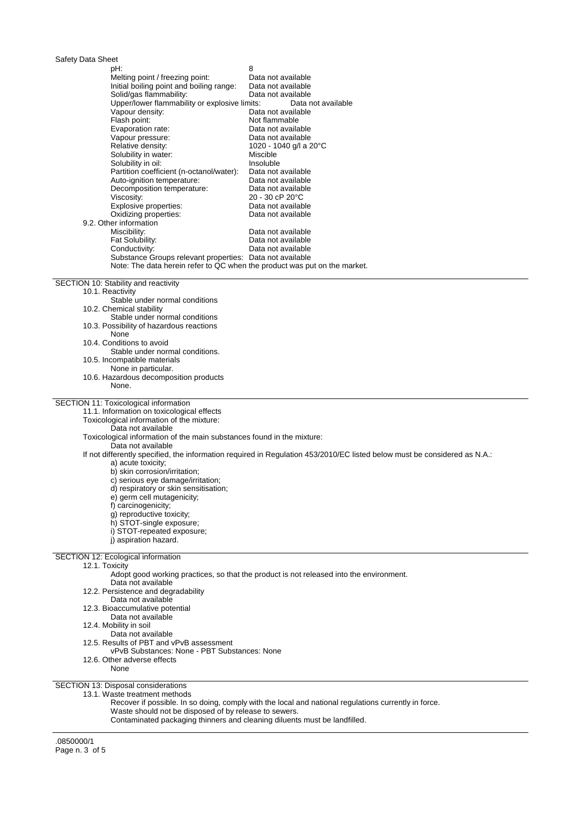| Safety Data Sheet |  |  |
|-------------------|--|--|
|-------------------|--|--|

| Salely Dala Sileel                                                        |                                                                                                                           |
|---------------------------------------------------------------------------|---------------------------------------------------------------------------------------------------------------------------|
| pH:                                                                       | 8                                                                                                                         |
| Melting point / freezing point:                                           | Data not available                                                                                                        |
| Initial boiling point and boiling range:                                  | Data not available                                                                                                        |
| Solid/gas flammability:                                                   | Data not available                                                                                                        |
|                                                                           |                                                                                                                           |
| Upper/lower flammability or explosive limits:                             | Data not available                                                                                                        |
| Vapour density:                                                           | Data not available                                                                                                        |
| Flash point:                                                              | Not flammable                                                                                                             |
| Evaporation rate:                                                         | Data not available                                                                                                        |
| Vapour pressure:                                                          | Data not available                                                                                                        |
|                                                                           |                                                                                                                           |
| Relative density:                                                         | 1020 - 1040 g/l a 20°C                                                                                                    |
| Solubility in water:                                                      | Miscible                                                                                                                  |
| Solubility in oil:                                                        | Insoluble                                                                                                                 |
| Partition coefficient (n-octanol/water):                                  | Data not available                                                                                                        |
| Auto-ignition temperature:                                                | Data not available                                                                                                        |
| Decomposition temperature:                                                | Data not available                                                                                                        |
|                                                                           |                                                                                                                           |
| Viscosity:                                                                | 20 - 30 cP 20°C                                                                                                           |
| Explosive properties:                                                     | Data not available                                                                                                        |
| Oxidizing properties:                                                     | Data not available                                                                                                        |
| 9.2. Other information                                                    |                                                                                                                           |
| Miscibility:                                                              | Data not available                                                                                                        |
| Fat Solubility:                                                           | Data not available                                                                                                        |
|                                                                           |                                                                                                                           |
| Conductivity:                                                             | Data not available                                                                                                        |
| Substance Groups relevant properties: Data not available                  |                                                                                                                           |
| Note: The data herein refer to QC when the product was put on the market. |                                                                                                                           |
|                                                                           |                                                                                                                           |
| SECTION 10: Stability and reactivity                                      |                                                                                                                           |
| 10.1. Reactivity                                                          |                                                                                                                           |
| Stable under normal conditions                                            |                                                                                                                           |
|                                                                           |                                                                                                                           |
| 10.2. Chemical stability                                                  |                                                                                                                           |
| Stable under normal conditions                                            |                                                                                                                           |
| 10.3. Possibility of hazardous reactions                                  |                                                                                                                           |
| None                                                                      |                                                                                                                           |
| 10.4. Conditions to avoid                                                 |                                                                                                                           |
| Stable under normal conditions.                                           |                                                                                                                           |
|                                                                           |                                                                                                                           |
| 10.5. Incompatible materials                                              |                                                                                                                           |
| None in particular.                                                       |                                                                                                                           |
|                                                                           |                                                                                                                           |
| 10.6. Hazardous decomposition products                                    |                                                                                                                           |
| None.                                                                     |                                                                                                                           |
|                                                                           |                                                                                                                           |
|                                                                           |                                                                                                                           |
|                                                                           |                                                                                                                           |
| 11.1. Information on toxicological effects                                |                                                                                                                           |
| Toxicological information of the mixture:                                 |                                                                                                                           |
| Data not available                                                        |                                                                                                                           |
| Toxicological information of the main substances found in the mixture:    |                                                                                                                           |
| Data not available                                                        |                                                                                                                           |
|                                                                           |                                                                                                                           |
|                                                                           | If not differently specified, the information required in Regulation 453/2010/EC listed below must be considered as N.A.: |
| a) acute toxicity;                                                        |                                                                                                                           |
| b) skin corrosion/irritation;                                             |                                                                                                                           |
| c) serious eye damage/irritation;                                         |                                                                                                                           |
| d) respiratory or skin sensitisation;                                     |                                                                                                                           |
|                                                                           |                                                                                                                           |
| e) germ cell mutagenicity;                                                |                                                                                                                           |
| f) carcinogenicity;                                                       |                                                                                                                           |
| g) reproductive toxicity;                                                 |                                                                                                                           |
| h) STOT-single exposure;                                                  |                                                                                                                           |
| i) STOT-repeated exposure;                                                |                                                                                                                           |
| SECTION 11: Toxicological information<br>i) aspiration hazard.            |                                                                                                                           |
|                                                                           |                                                                                                                           |
| <b>SECTION 12: Ecological information</b>                                 |                                                                                                                           |
| 12.1. Toxicity                                                            |                                                                                                                           |
|                                                                           |                                                                                                                           |
|                                                                           | Adopt good working practices, so that the product is not released into the environment.                                   |
| Data not available                                                        |                                                                                                                           |
| 12.2. Persistence and degradability                                       |                                                                                                                           |
| Data not available                                                        |                                                                                                                           |
| 12.3. Bioaccumulative potential                                           |                                                                                                                           |
| Data not available                                                        |                                                                                                                           |
| 12.4. Mobility in soil                                                    |                                                                                                                           |
|                                                                           |                                                                                                                           |
| Data not available                                                        |                                                                                                                           |
| 12.5. Results of PBT and vPvB assessment                                  |                                                                                                                           |
| vPvB Substances: None - PBT Substances: None                              |                                                                                                                           |
| 12.6. Other adverse effects                                               |                                                                                                                           |
| None                                                                      |                                                                                                                           |
|                                                                           |                                                                                                                           |
|                                                                           |                                                                                                                           |
| SECTION 13: Disposal considerations<br>13.1. Waste treatment methods      |                                                                                                                           |

Waste should not be disposed of by release to sewers.

Contaminated packaging thinners and cleaning diluents must be landfilled.

.0850000/1 Page n. 3 of 5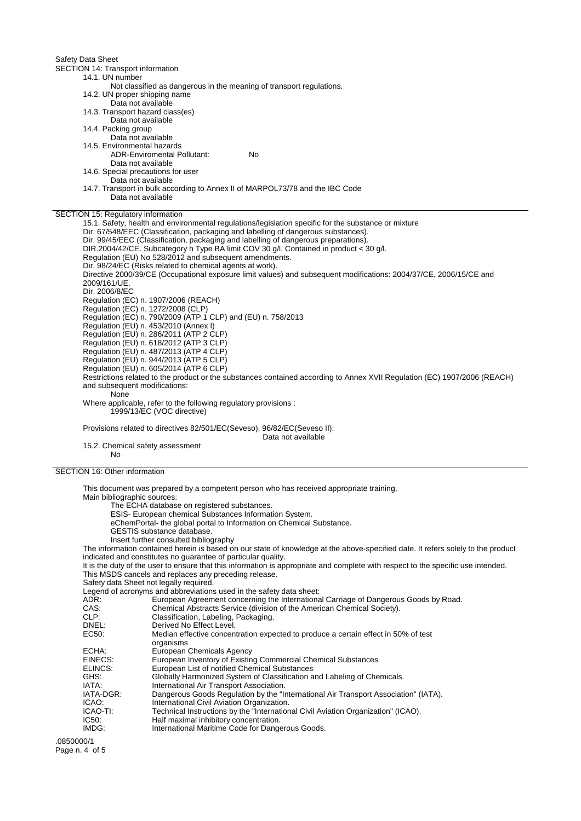Safety Data Sheet SECTION 14: Transport information 14.1. UN number Not classified as dangerous in the meaning of transport regulations. 14.2. UN proper shipping name Data not available 14.3. Transport hazard class(es) Data not available 14.4. Packing group Data not available 14.5. Environmental hazards ADR-Enviromental Pollutant: No Data not available 14.6. Special precautions for user Data not available 14.7. Transport in bulk according to Annex II of MARPOL73/78 and the IBC Code Data not available SECTION 15: Regulatory information Dir. 67/548/EEC (Classification, packaging and labelling of dangerous substances). Dir. 99/45/EEC (Classification, packaging and labelling of dangerous preparations). DIR.2004/42/CE. Subcategory h Type BA limit COV 30 g/l. Contained in product < 30 g/l. Regulation (EU) No 528/2012 and subsequent amendments. Dir. 98/24/EC (Risks related to chemical agents at work). 2009/161/UE. Dir. 2006/8/EC Regulation (EC) n. 1907/2006 (REACH) Regulation (EC) n. 1272/2008 (CLP) Regulation (EC) n. 790/2009 (ATP 1 CLP) and (EU) n. 758/2013 Regulation (EU) n. 453/2010 (Annex I) Regulation (EU) n. 286/2011 (ATP 2 CLP)

15.1. Safety, health and environmental regulations/legislation specific for the substance or mixture Directive 2000/39/CE (Occupational exposure limit values) and subsequent modifications: 2004/37/CE, 2006/15/CE and Regulation (EU) n. 618/2012 (ATP 3 CLP) Regulation (EU) n. 487/2013 (ATP 4 CLP) Regulation (EU) n. 944/2013 (ATP 5 CLP) Regulation (EU) n. 605/2014 (ATP 6 CLP) Restrictions related to the product or the substances contained according to Annex XVII Regulation (EC) 1907/2006 (REACH) and subsequent modifications: **None** Where applicable, refer to the following regulatory provisions : 1999/13/EC (VOC directive) Provisions related to directives 82/501/EC(Seveso), 96/82/EC(Seveso II): Data not available 15.2. Chemical safety assessment No

SECTION 16: Other information

This document was prepared by a competent person who has received appropriate training. Main bibliographic sources:

The ECHA database on registered substances.

ESIS- European chemical Substances Information System.

eChemPortal- the global portal to Information on Chemical Substance.

GESTIS substance database.

Insert further consulted bibliography

The information contained herein is based on our state of knowledge at the above-specified date. It refers solely to the product indicated and constitutes no guarantee of particular quality.

It is the duty of the user to ensure that this information is appropriate and complete with respect to the specific use intended. This MSDS cancels and replaces any preceding release.

Safety data Sheet not legally required.

Legend of acronyms and abbreviations used in the safety data sheet:

|           | Legend or actorigins and abbieviations used in the safety data sheet.                |
|-----------|--------------------------------------------------------------------------------------|
| ADR:      | European Agreement concerning the International Carriage of Dangerous Goods by Road. |
| CAS:      | Chemical Abstracts Service (division of the American Chemical Society).              |
| CLP:      | Classification, Labeling, Packaging.                                                 |
| DNEL:     | Derived No Effect Level.                                                             |
| EC50:     | Median effective concentration expected to produce a certain effect in 50% of test   |
|           | organisms                                                                            |
| ECHA:     | European Chemicals Agency                                                            |
| EINECS:   | European Inventory of Existing Commercial Chemical Substances                        |
| ELINCS:   | European List of notified Chemical Substances                                        |
| GHS:      | Globally Harmonized System of Classification and Labeling of Chemicals.              |
| IATA:     | International Air Transport Association.                                             |
| IATA-DGR: | Dangerous Goods Regulation by the "International Air Transport Association" (IATA).  |
| ICAO:     | International Civil Aviation Organization.                                           |
| ICAO-TI:  | Technical Instructions by the "International Civil Aviation Organization" (ICAO).    |
| IC50:     | Half maximal inhibitory concentration.                                               |
| IMDG:     | International Maritime Code for Dangerous Goods.                                     |

.0850000/1 Page n. 4 of 5